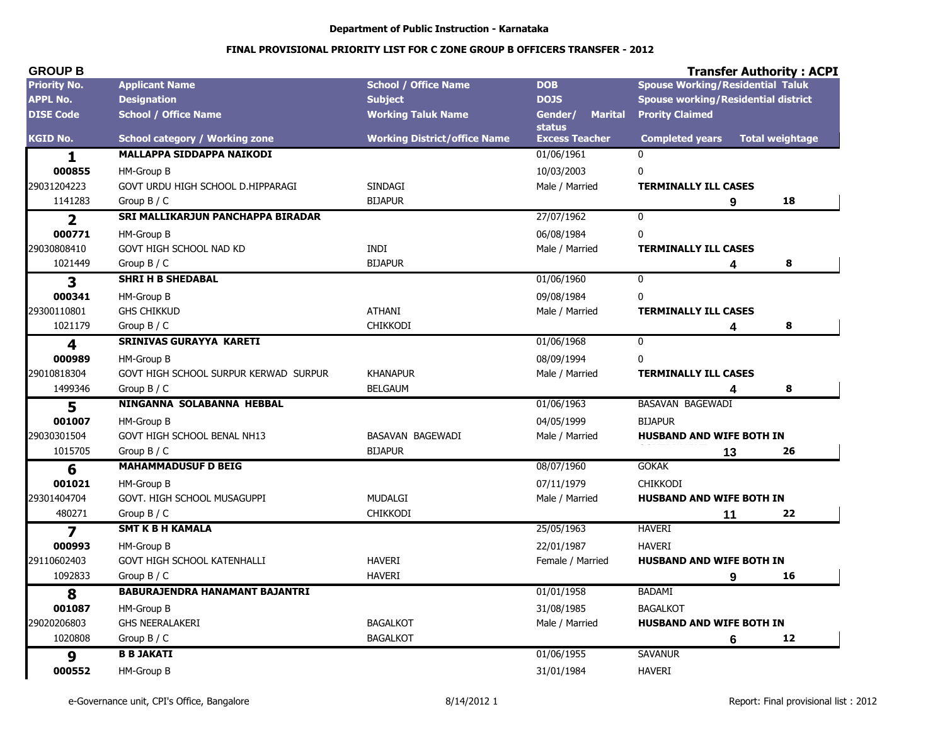#### Department of Public Instruction - Karnataka

| <b>GROUP B</b>          |                                       |                                     |                                     | <b>Transfer Authority: ACPI</b>            |                        |
|-------------------------|---------------------------------------|-------------------------------------|-------------------------------------|--------------------------------------------|------------------------|
| <b>Priority No.</b>     | <b>Applicant Name</b>                 | <b>School / Office Name</b>         | <b>DOB</b>                          | <b>Spouse Working/Residential Taluk</b>    |                        |
| <b>APPL No.</b>         | <b>Designation</b>                    | <b>Subject</b>                      | <b>DOJS</b>                         | <b>Spouse working/Residential district</b> |                        |
| <b>DISE Code</b>        | <b>School / Office Name</b>           | <b>Working Taluk Name</b>           | <b>Marital</b><br>Gender/<br>status | <b>Prority Claimed</b>                     |                        |
| <b>KGID No.</b>         | <b>School category / Working zone</b> | <b>Working District/office Name</b> | <b>Excess Teacher</b>               | <b>Completed years</b>                     | <b>Total weightage</b> |
| 1                       | <b>MALLAPPA SIDDAPPA NAIKODI</b>      |                                     | 01/06/1961                          | $\Omega$                                   |                        |
| 000855                  | HM-Group B                            |                                     | 10/03/2003                          | 0                                          |                        |
| 29031204223             | GOVT URDU HIGH SCHOOL D.HIPPARAGI     | <b>SINDAGI</b>                      | Male / Married                      | <b>TERMINALLY ILL CASES</b>                |                        |
| 1141283                 | Group $B / C$                         | <b>BIJAPUR</b>                      |                                     | 9                                          | 18                     |
| $\overline{\mathbf{2}}$ | SRI MALLIKARJUN PANCHAPPA BIRADAR     |                                     | 27/07/1962                          | $\mathbf 0$                                |                        |
| 000771                  | HM-Group B                            |                                     | 06/08/1984                          | 0                                          |                        |
| 29030808410             | GOVT HIGH SCHOOL NAD KD               | <b>INDI</b>                         | Male / Married                      | <b>TERMINALLY ILL CASES</b>                |                        |
| 1021449                 | Group $B / C$                         | <b>BIJAPUR</b>                      |                                     | 4                                          | 8                      |
| 3                       | <b>SHRI H B SHEDABAL</b>              |                                     | 01/06/1960                          | $\mathbf 0$                                |                        |
| 000341                  | HM-Group B                            |                                     | 09/08/1984                          | 0                                          |                        |
| 29300110801             | <b>GHS CHIKKUD</b>                    | <b>ATHANI</b>                       | Male / Married                      | <b>TERMINALLY ILL CASES</b>                |                        |
| 1021179                 | Group B / C                           | <b>CHIKKODI</b>                     |                                     | 4                                          | 8                      |
| 4                       | SRINIVAS GURAYYA KARETI               |                                     | 01/06/1968                          | $\overline{0}$                             |                        |
| 000989                  | HM-Group B                            |                                     | 08/09/1994                          | 0                                          |                        |
| 29010818304             | GOVT HIGH SCHOOL SURPUR KERWAD SURPUR | <b>KHANAPUR</b>                     | Male / Married                      | <b>TERMINALLY ILL CASES</b>                |                        |
| 1499346                 | Group $B / C$                         | <b>BELGAUM</b>                      |                                     | 4                                          | 8                      |
| 5                       | NINGANNA SOLABANNA HEBBAL             |                                     | 01/06/1963                          | <b>BASAVAN BAGEWADI</b>                    |                        |
| 001007                  | HM-Group B                            |                                     | 04/05/1999                          | <b>BIJAPUR</b>                             |                        |
| 29030301504             | GOVT HIGH SCHOOL BENAL NH13           | BASAVAN BAGEWADI                    | Male / Married                      | <b>HUSBAND AND WIFE BOTH IN</b>            |                        |
| 1015705                 | Group $B / C$                         | <b>BIJAPUR</b>                      |                                     | 13                                         | 26                     |
| 6                       | <b>MAHAMMADUSUF D BEIG</b>            |                                     | 08/07/1960                          | <b>GOKAK</b>                               |                        |
| 001021                  | HM-Group B                            |                                     | 07/11/1979                          | <b>CHIKKODI</b>                            |                        |
| 29301404704             | GOVT. HIGH SCHOOL MUSAGUPPI           | <b>MUDALGI</b>                      | Male / Married                      | HUSBAND AND WIFE BOTH IN                   |                        |
| 480271                  | Group $B / C$                         | <b>CHIKKODI</b>                     |                                     | 11                                         | 22                     |
| $\overline{\mathbf{z}}$ | <b>SMT K B H KAMALA</b>               |                                     | 25/05/1963                          | <b>HAVERI</b>                              |                        |
| 000993                  | HM-Group B                            |                                     | 22/01/1987                          | <b>HAVERI</b>                              |                        |
| 29110602403             | GOVT HIGH SCHOOL KATENHALLI           | <b>HAVERI</b>                       | Female / Married                    | <b>HUSBAND AND WIFE BOTH IN</b>            |                        |
| 1092833                 | Group $B / C$                         | <b>HAVERI</b>                       |                                     | 9                                          | 16                     |
| 8                       | <b>BABURAJENDRA HANAMANT BAJANTRI</b> |                                     | 01/01/1958                          | <b>BADAMI</b>                              |                        |
| 001087                  | HM-Group B                            |                                     | 31/08/1985                          | <b>BAGALKOT</b>                            |                        |
| 29020206803             | <b>GHS NEERALAKERI</b>                | <b>BAGALKOT</b>                     | Male / Married                      | HUSBAND AND WIFE BOTH IN                   |                        |
| 1020808                 | Group $B / C$                         | <b>BAGALKOT</b>                     |                                     | 6                                          | 12                     |
| 9                       | <b>B B JAKATI</b>                     |                                     | 01/06/1955                          | <b>SAVANUR</b>                             |                        |
| 000552                  | HM-Group B                            |                                     | 31/01/1984                          | <b>HAVERI</b>                              |                        |
|                         |                                       |                                     |                                     |                                            |                        |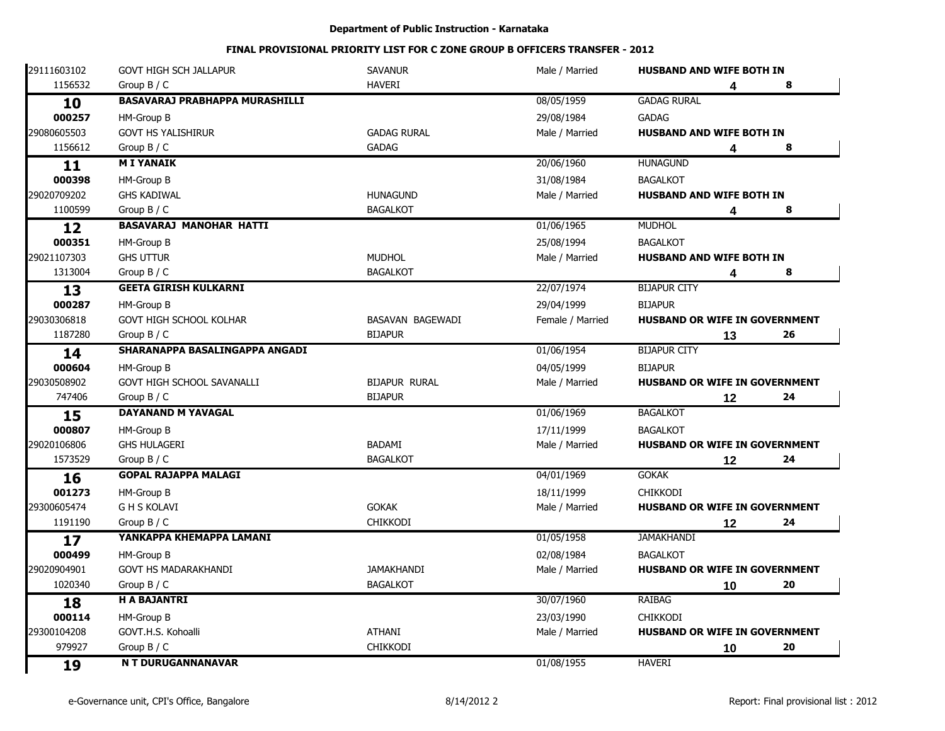| 29111603102 | <b>GOVT HIGH SCH JALLAPUR</b>         | <b>SAVANUR</b>       | Male / Married   | <b>HUSBAND AND WIFE BOTH IN</b>      |    |    |
|-------------|---------------------------------------|----------------------|------------------|--------------------------------------|----|----|
| 1156532     | Group $B / C$                         | <b>HAVERI</b>        |                  |                                      | 4  | 8  |
| 10          | <b>BASAVARAJ PRABHAPPA MURASHILLI</b> |                      | 08/05/1959       | <b>GADAG RURAL</b>                   |    |    |
| 000257      | HM-Group B                            |                      | 29/08/1984       | <b>GADAG</b>                         |    |    |
| 29080605503 | <b>GOVT HS YALISHIRUR</b>             | <b>GADAG RURAL</b>   | Male / Married   | <b>HUSBAND AND WIFE BOTH IN</b>      |    |    |
| 1156612     | Group $B / C$                         | <b>GADAG</b>         |                  |                                      | 4  | 8  |
| 11          | <b>MI YANAIK</b>                      |                      | 20/06/1960       | <b>HUNAGUND</b>                      |    |    |
| 000398      | HM-Group B                            |                      | 31/08/1984       | <b>BAGALKOT</b>                      |    |    |
| 29020709202 | <b>GHS KADIWAL</b>                    | <b>HUNAGUND</b>      | Male / Married   | <b>HUSBAND AND WIFE BOTH IN</b>      |    |    |
| 1100599     | Group B / C                           | <b>BAGALKOT</b>      |                  |                                      | 4  | 8  |
| 12          | BASAVARAJ MANOHAR HATTI               |                      | 01/06/1965       | <b>MUDHOL</b>                        |    |    |
| 000351      | HM-Group B                            |                      | 25/08/1994       | <b>BAGALKOT</b>                      |    |    |
| 29021107303 | <b>GHS UTTUR</b>                      | <b>MUDHOL</b>        | Male / Married   | <b>HUSBAND AND WIFE BOTH IN</b>      |    |    |
| 1313004     | Group $B / C$                         | <b>BAGALKOT</b>      |                  |                                      | 4  | 8  |
| 13          | <b>GEETA GIRISH KULKARNI</b>          |                      | 22/07/1974       | <b>BIJAPUR CITY</b>                  |    |    |
| 000287      | HM-Group B                            |                      | 29/04/1999       | <b>BIJAPUR</b>                       |    |    |
| 29030306818 | GOVT HIGH SCHOOL KOLHAR               | BASAVAN BAGEWADI     | Female / Married | HUSBAND OR WIFE IN GOVERNMENT        |    |    |
| 1187280     | Group $B / C$                         | <b>BIJAPUR</b>       |                  |                                      | 13 | 26 |
| 14          | SHARANAPPA BASALINGAPPA ANGADI        |                      | 01/06/1954       | <b>BIJAPUR CITY</b>                  |    |    |
| 000604      | HM-Group B                            |                      | 04/05/1999       | <b>BIJAPUR</b>                       |    |    |
| 29030508902 | GOVT HIGH SCHOOL SAVANALLI            | <b>BIJAPUR RURAL</b> | Male / Married   | HUSBAND OR WIFE IN GOVERNMENT        |    |    |
| 747406      | Group $B / C$                         | <b>BIJAPUR</b>       |                  |                                      | 12 | 24 |
| 15          | <b>DAYANAND M YAVAGAL</b>             |                      | 01/06/1969       | <b>BAGALKOT</b>                      |    |    |
| 000807      | HM-Group B                            |                      | 17/11/1999       | <b>BAGALKOT</b>                      |    |    |
| 29020106806 | <b>GHS HULAGERI</b>                   | BADAMI               | Male / Married   | HUSBAND OR WIFE IN GOVERNMENT        |    |    |
| 1573529     | Group $B / C$                         | <b>BAGALKOT</b>      |                  |                                      | 12 | 24 |
| 16          | <b>GOPAL RAJAPPA MALAGI</b>           |                      | 04/01/1969       | <b>GOKAK</b>                         |    |    |
| 001273      | HM-Group B                            |                      | 18/11/1999       | <b>CHIKKODI</b>                      |    |    |
| 29300605474 | <b>GHS KOLAVI</b>                     | <b>GOKAK</b>         | Male / Married   | HUSBAND OR WIFE IN GOVERNMENT        |    |    |
| 1191190     | Group $B / C$                         | <b>CHIKKODI</b>      |                  |                                      | 12 | 24 |
| 17          | YANKAPPA KHEMAPPA LAMANI              |                      | 01/05/1958       | <b>JAMAKHANDI</b>                    |    |    |
| 000499      | HM-Group B                            |                      | 02/08/1984       | <b>BAGALKOT</b>                      |    |    |
| 29020904901 | GOVT HS MADARAKHANDI                  | <b>JAMAKHANDI</b>    | Male / Married   | HUSBAND OR WIFE IN GOVERNMENT        |    |    |
| 1020340     | Group $B / C$                         | <b>BAGALKOT</b>      |                  |                                      | 10 | 20 |
| 18          | <b>H A BAJANTRI</b>                   |                      | 30/07/1960       | <b>RAIBAG</b>                        |    |    |
| 000114      | HM-Group B                            |                      | 23/03/1990       | <b>CHIKKODI</b>                      |    |    |
| 29300104208 | GOVT.H.S. Kohoalli                    | <b>ATHANI</b>        | Male / Married   | <b>HUSBAND OR WIFE IN GOVERNMENT</b> |    |    |
| 979927      | Group B / C                           | <b>CHIKKODI</b>      |                  |                                      | 10 | 20 |
| 19          | N T DURUGANNANAVAR                    |                      | 01/08/1955       | <b>HAVERI</b>                        |    |    |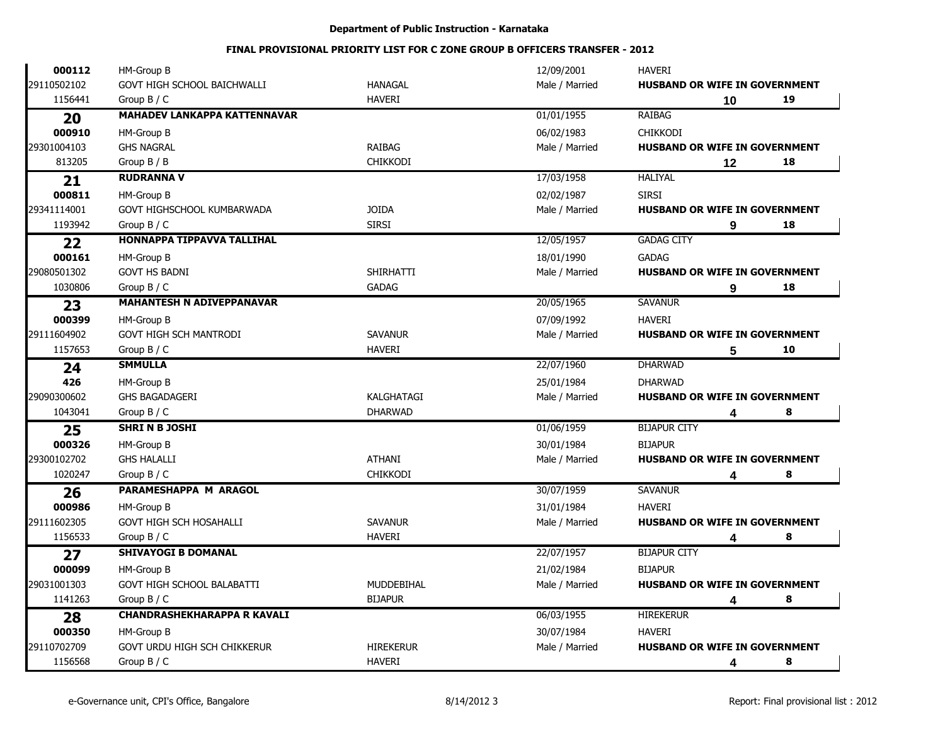| 000112      | HM-Group B                          |                  | 12/09/2001     | <b>HAVERI</b>                        |    |    |
|-------------|-------------------------------------|------------------|----------------|--------------------------------------|----|----|
| 29110502102 | GOVT HIGH SCHOOL BAICHWALLI         | <b>HANAGAL</b>   | Male / Married | HUSBAND OR WIFE IN GOVERNMENT        |    |    |
| 1156441     | Group $B / C$                       | <b>HAVERI</b>    |                |                                      | 10 | 19 |
| 20          | <b>MAHADEV LANKAPPA KATTENNAVAR</b> |                  | 01/01/1955     | <b>RAIBAG</b>                        |    |    |
| 000910      | HM-Group B                          |                  | 06/02/1983     | CHIKKODI                             |    |    |
| 29301004103 | <b>GHS NAGRAL</b>                   | <b>RAIBAG</b>    | Male / Married | HUSBAND OR WIFE IN GOVERNMENT        |    |    |
| 813205      | Group B / B                         | <b>CHIKKODI</b>  |                |                                      | 12 | 18 |
| 21          | <b>RUDRANNA V</b>                   |                  | 17/03/1958     | <b>HALIYAL</b>                       |    |    |
| 000811      | HM-Group B                          |                  | 02/02/1987     | <b>SIRSI</b>                         |    |    |
| 29341114001 | GOVT HIGHSCHOOL KUMBARWADA          | <b>JOIDA</b>     | Male / Married | HUSBAND OR WIFE IN GOVERNMENT        |    |    |
| 1193942     | Group B / C                         | <b>SIRSI</b>     |                |                                      | 9  | 18 |
| 22          | <b>HONNAPPA TIPPAVVA TALLIHAL</b>   |                  | 12/05/1957     | <b>GADAG CITY</b>                    |    |    |
| 000161      | HM-Group B                          |                  | 18/01/1990     | <b>GADAG</b>                         |    |    |
| 29080501302 | <b>GOVT HS BADNI</b>                | <b>SHIRHATTI</b> | Male / Married | HUSBAND OR WIFE IN GOVERNMENT        |    |    |
| 1030806     | Group B / C                         | <b>GADAG</b>     |                |                                      | 9  | 18 |
| 23          | <b>MAHANTESH N ADIVEPPANAVAR</b>    |                  | 20/05/1965     | <b>SAVANUR</b>                       |    |    |
| 000399      | HM-Group B                          |                  | 07/09/1992     | <b>HAVERI</b>                        |    |    |
| 29111604902 | <b>GOVT HIGH SCH MANTRODI</b>       | <b>SAVANUR</b>   | Male / Married | HUSBAND OR WIFE IN GOVERNMENT        |    |    |
| 1157653     | Group $B / C$                       | <b>HAVERI</b>    |                |                                      | 5  | 10 |
| 24          | <b>SMMULLA</b>                      |                  | 22/07/1960     | <b>DHARWAD</b>                       |    |    |
| 426         | HM-Group B                          |                  | 25/01/1984     | <b>DHARWAD</b>                       |    |    |
| 29090300602 | <b>GHS BAGADAGERI</b>               | KALGHATAGI       | Male / Married | HUSBAND OR WIFE IN GOVERNMENT        |    |    |
| 1043041     | Group $B / C$                       | <b>DHARWAD</b>   |                |                                      | 4  | 8  |
| 25          | <b>SHRI N B JOSHI</b>               |                  | 01/06/1959     | <b>BIJAPUR CITY</b>                  |    |    |
| 000326      | HM-Group B                          |                  | 30/01/1984     | <b>BIJAPUR</b>                       |    |    |
| 29300102702 | <b>GHS HALALLI</b>                  | <b>ATHANI</b>    | Male / Married | HUSBAND OR WIFE IN GOVERNMENT        |    |    |
| 1020247     | Group $B / C$                       | <b>CHIKKODI</b>  |                |                                      | 4  | 8  |
| 26          | PARAMESHAPPA M ARAGOL               |                  | 30/07/1959     | <b>SAVANUR</b>                       |    |    |
| 000986      | HM-Group B                          |                  | 31/01/1984     | <b>HAVERI</b>                        |    |    |
| 29111602305 | GOVT HIGH SCH HOSAHALLI             | <b>SAVANUR</b>   | Male / Married | <b>HUSBAND OR WIFE IN GOVERNMENT</b> |    |    |
| 1156533     | Group $B / C$                       | <b>HAVERI</b>    |                |                                      | 4  | 8  |
| 27          | <b>SHIVAYOGI B DOMANAL</b>          |                  | 22/07/1957     | <b>BIJAPUR CITY</b>                  |    |    |
| 000099      | HM-Group B                          |                  | 21/02/1984     | <b>BIJAPUR</b>                       |    |    |
| 29031001303 | <b>GOVT HIGH SCHOOL BALABATTI</b>   | MUDDEBIHAL       | Male / Married | HUSBAND OR WIFE IN GOVERNMENT        |    |    |
| 1141263     | Group $B / C$                       | <b>BIJAPUR</b>   |                |                                      | 4  | 8  |
| 28          | <b>CHANDRASHEKHARAPPA R KAVALI</b>  |                  | 06/03/1955     | <b>HIREKERUR</b>                     |    |    |
| 000350      | HM-Group B                          |                  | 30/07/1984     | <b>HAVERI</b>                        |    |    |
| 29110702709 | <b>GOVT URDU HIGH SCH CHIKKERUR</b> | <b>HIREKERUR</b> | Male / Married | <b>HUSBAND OR WIFE IN GOVERNMENT</b> |    |    |
| 1156568     | Group $B / C$                       | <b>HAVERI</b>    |                |                                      | 4  | 8  |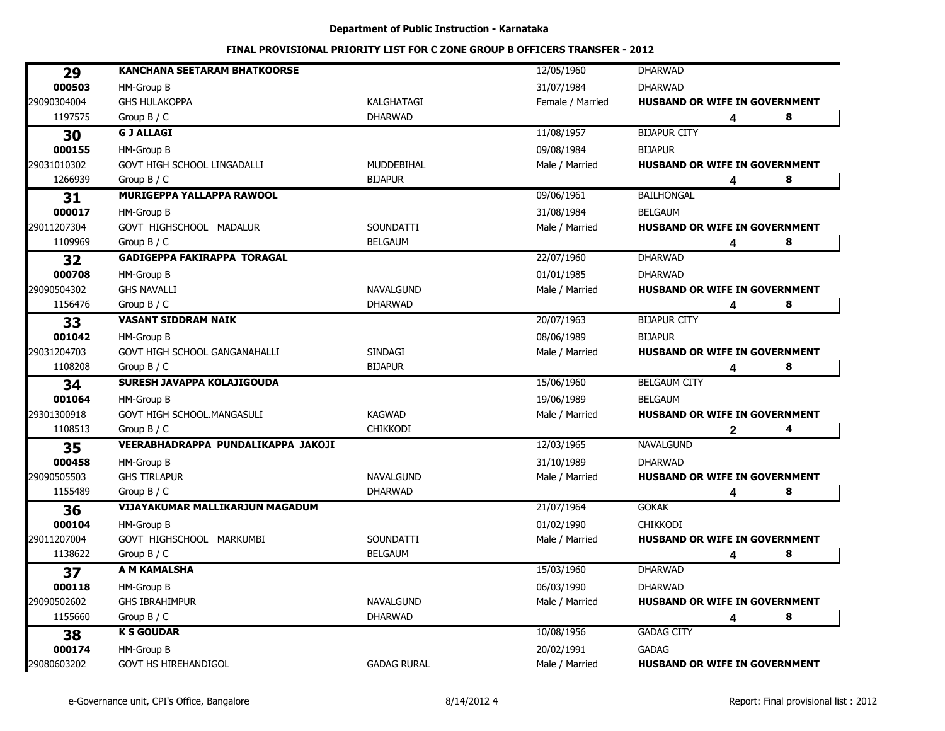#### Department of Public Instruction - Karnataka

| 000503<br>HM-Group B<br>31/07/1984<br><b>DHARWAD</b><br><b>GHS HULAKOPPA</b><br>Female / Married<br>HUSBAND OR WIFE IN GOVERNMENT<br>KALGHATAGI<br>1197575<br>Group $B / C$<br><b>DHARWAD</b><br>8<br>4<br><b>G J ALLAGI</b><br>11/08/1957<br><b>BIJAPUR CITY</b><br>30<br>000155<br>HM-Group B<br>09/08/1984<br><b>BIJAPUR</b><br>MUDDEBIHAL<br>GOVT HIGH SCHOOL LINGADALLI<br>Male / Married<br><b>HUSBAND OR WIFE IN GOVERNMENT</b><br>1266939<br>Group $B / C$<br><b>BIJAPUR</b><br>8<br>4<br><b>MURIGEPPA YALLAPPA RAWOOL</b><br><b>BAILHONGAL</b><br>09/06/1961<br>31<br>000017<br>HM-Group B<br>31/08/1984<br><b>BELGAUM</b><br>GOVT HIGHSCHOOL MADALUR<br>SOUNDATTI<br>Male / Married<br>HUSBAND OR WIFE IN GOVERNMENT<br>1109969<br>Group B / C<br><b>BELGAUM</b><br>8<br>4<br><b>GADIGEPPA FAKIRAPPA TORAGAL</b><br>22/07/1960<br><b>DHARWAD</b><br>32<br>000708<br>HM-Group B<br>01/01/1985<br><b>DHARWAD</b><br><b>GHS NAVALLI</b><br><b>NAVALGUND</b><br>Male / Married<br><b>HUSBAND OR WIFE IN GOVERNMENT</b><br><b>DHARWAD</b><br>8<br>1156476<br>Group $B / C$<br>4<br>20/07/1963<br><b>VASANT SIDDRAM NAIK</b><br><b>BIJAPUR CITY</b><br>33<br>001042<br>HM-Group B<br>08/06/1989<br><b>BIJAPUR</b><br><b>GOVT HIGH SCHOOL GANGANAHALLI</b><br><b>SINDAGI</b><br>Male / Married<br><b>HUSBAND OR WIFE IN GOVERNMENT</b><br>1108208<br>Group $B / C$<br><b>BIJAPUR</b><br>8<br>4<br><b>SURESH JAVAPPA KOLAJIGOUDA</b><br>15/06/1960<br><b>BELGAUM CITY</b><br>34<br>001064<br>HM-Group B<br>19/06/1989<br><b>BELGAUM</b><br><b>KAGWAD</b><br>GOVT HIGH SCHOOL.MANGASULI<br>Male / Married<br><b>HUSBAND OR WIFE IN GOVERNMENT</b><br>1108513<br><b>CHIKKODI</b><br>Group $B / C$<br>4<br>$\mathbf{2}$<br>VEERABHADRAPPA PUNDALIKAPPA JAKOJI<br>12/03/1965<br><b>NAVALGUND</b><br>35<br>000458<br>31/10/1989<br>HM-Group B<br><b>DHARWAD</b><br><b>GHS TIRLAPUR</b><br><b>NAVALGUND</b><br>Male / Married<br><b>HUSBAND OR WIFE IN GOVERNMENT</b><br><b>DHARWAD</b><br>1155489<br>Group $B / C$<br>8<br>4<br>VIJAYAKUMAR MALLIKARJUN MAGADUM<br><b>GOKAK</b><br>21/07/1964<br>36<br>000104<br><b>CHIKKODI</b><br>HM-Group B<br>01/02/1990<br>GOVT HIGHSCHOOL MARKUMBI<br>SOUNDATTI<br>Male / Married<br>HUSBAND OR WIFE IN GOVERNMENT<br>1138622<br>Group $B / C$<br><b>BELGAUM</b><br>8<br>4<br>A M KAMALSHA<br>15/03/1960<br><b>DHARWAD</b><br>37<br>000118<br>HM-Group B<br>06/03/1990<br><b>DHARWAD</b><br><b>GHS IBRAHIMPUR</b><br><b>NAVALGUND</b><br>Male / Married<br><b>HUSBAND OR WIFE IN GOVERNMENT</b><br>1155660<br>Group B / C<br><b>DHARWAD</b><br>8<br>4<br><b>K S GOUDAR</b><br>10/08/1956<br><b>GADAG CITY</b><br>38<br>000174<br>20/02/1991<br><b>GADAG</b><br>HM-Group B<br>HUSBAND OR WIFE IN GOVERNMENT | 29          | <b>KANCHANA SEETARAM BHATKOORSE</b> |                    | 12/05/1960     | <b>DHARWAD</b> |  |
|-----------------------------------------------------------------------------------------------------------------------------------------------------------------------------------------------------------------------------------------------------------------------------------------------------------------------------------------------------------------------------------------------------------------------------------------------------------------------------------------------------------------------------------------------------------------------------------------------------------------------------------------------------------------------------------------------------------------------------------------------------------------------------------------------------------------------------------------------------------------------------------------------------------------------------------------------------------------------------------------------------------------------------------------------------------------------------------------------------------------------------------------------------------------------------------------------------------------------------------------------------------------------------------------------------------------------------------------------------------------------------------------------------------------------------------------------------------------------------------------------------------------------------------------------------------------------------------------------------------------------------------------------------------------------------------------------------------------------------------------------------------------------------------------------------------------------------------------------------------------------------------------------------------------------------------------------------------------------------------------------------------------------------------------------------------------------------------------------------------------------------------------------------------------------------------------------------------------------------------------------------------------------------------------------------------------------------------------------------------------------------------------------------------------------------------------------------------------------------------------------------------------------------------------------------------------------------------------------------------------------------------------------------------------------------------------------------------------------------------------------|-------------|-------------------------------------|--------------------|----------------|----------------|--|
|                                                                                                                                                                                                                                                                                                                                                                                                                                                                                                                                                                                                                                                                                                                                                                                                                                                                                                                                                                                                                                                                                                                                                                                                                                                                                                                                                                                                                                                                                                                                                                                                                                                                                                                                                                                                                                                                                                                                                                                                                                                                                                                                                                                                                                                                                                                                                                                                                                                                                                                                                                                                                                                                                                                                               |             |                                     |                    |                |                |  |
|                                                                                                                                                                                                                                                                                                                                                                                                                                                                                                                                                                                                                                                                                                                                                                                                                                                                                                                                                                                                                                                                                                                                                                                                                                                                                                                                                                                                                                                                                                                                                                                                                                                                                                                                                                                                                                                                                                                                                                                                                                                                                                                                                                                                                                                                                                                                                                                                                                                                                                                                                                                                                                                                                                                                               | 29090304004 |                                     |                    |                |                |  |
|                                                                                                                                                                                                                                                                                                                                                                                                                                                                                                                                                                                                                                                                                                                                                                                                                                                                                                                                                                                                                                                                                                                                                                                                                                                                                                                                                                                                                                                                                                                                                                                                                                                                                                                                                                                                                                                                                                                                                                                                                                                                                                                                                                                                                                                                                                                                                                                                                                                                                                                                                                                                                                                                                                                                               |             |                                     |                    |                |                |  |
|                                                                                                                                                                                                                                                                                                                                                                                                                                                                                                                                                                                                                                                                                                                                                                                                                                                                                                                                                                                                                                                                                                                                                                                                                                                                                                                                                                                                                                                                                                                                                                                                                                                                                                                                                                                                                                                                                                                                                                                                                                                                                                                                                                                                                                                                                                                                                                                                                                                                                                                                                                                                                                                                                                                                               |             |                                     |                    |                |                |  |
|                                                                                                                                                                                                                                                                                                                                                                                                                                                                                                                                                                                                                                                                                                                                                                                                                                                                                                                                                                                                                                                                                                                                                                                                                                                                                                                                                                                                                                                                                                                                                                                                                                                                                                                                                                                                                                                                                                                                                                                                                                                                                                                                                                                                                                                                                                                                                                                                                                                                                                                                                                                                                                                                                                                                               |             |                                     |                    |                |                |  |
|                                                                                                                                                                                                                                                                                                                                                                                                                                                                                                                                                                                                                                                                                                                                                                                                                                                                                                                                                                                                                                                                                                                                                                                                                                                                                                                                                                                                                                                                                                                                                                                                                                                                                                                                                                                                                                                                                                                                                                                                                                                                                                                                                                                                                                                                                                                                                                                                                                                                                                                                                                                                                                                                                                                                               | 29031010302 |                                     |                    |                |                |  |
|                                                                                                                                                                                                                                                                                                                                                                                                                                                                                                                                                                                                                                                                                                                                                                                                                                                                                                                                                                                                                                                                                                                                                                                                                                                                                                                                                                                                                                                                                                                                                                                                                                                                                                                                                                                                                                                                                                                                                                                                                                                                                                                                                                                                                                                                                                                                                                                                                                                                                                                                                                                                                                                                                                                                               |             |                                     |                    |                |                |  |
|                                                                                                                                                                                                                                                                                                                                                                                                                                                                                                                                                                                                                                                                                                                                                                                                                                                                                                                                                                                                                                                                                                                                                                                                                                                                                                                                                                                                                                                                                                                                                                                                                                                                                                                                                                                                                                                                                                                                                                                                                                                                                                                                                                                                                                                                                                                                                                                                                                                                                                                                                                                                                                                                                                                                               |             |                                     |                    |                |                |  |
|                                                                                                                                                                                                                                                                                                                                                                                                                                                                                                                                                                                                                                                                                                                                                                                                                                                                                                                                                                                                                                                                                                                                                                                                                                                                                                                                                                                                                                                                                                                                                                                                                                                                                                                                                                                                                                                                                                                                                                                                                                                                                                                                                                                                                                                                                                                                                                                                                                                                                                                                                                                                                                                                                                                                               |             |                                     |                    |                |                |  |
|                                                                                                                                                                                                                                                                                                                                                                                                                                                                                                                                                                                                                                                                                                                                                                                                                                                                                                                                                                                                                                                                                                                                                                                                                                                                                                                                                                                                                                                                                                                                                                                                                                                                                                                                                                                                                                                                                                                                                                                                                                                                                                                                                                                                                                                                                                                                                                                                                                                                                                                                                                                                                                                                                                                                               | 29011207304 |                                     |                    |                |                |  |
|                                                                                                                                                                                                                                                                                                                                                                                                                                                                                                                                                                                                                                                                                                                                                                                                                                                                                                                                                                                                                                                                                                                                                                                                                                                                                                                                                                                                                                                                                                                                                                                                                                                                                                                                                                                                                                                                                                                                                                                                                                                                                                                                                                                                                                                                                                                                                                                                                                                                                                                                                                                                                                                                                                                                               |             |                                     |                    |                |                |  |
|                                                                                                                                                                                                                                                                                                                                                                                                                                                                                                                                                                                                                                                                                                                                                                                                                                                                                                                                                                                                                                                                                                                                                                                                                                                                                                                                                                                                                                                                                                                                                                                                                                                                                                                                                                                                                                                                                                                                                                                                                                                                                                                                                                                                                                                                                                                                                                                                                                                                                                                                                                                                                                                                                                                                               |             |                                     |                    |                |                |  |
|                                                                                                                                                                                                                                                                                                                                                                                                                                                                                                                                                                                                                                                                                                                                                                                                                                                                                                                                                                                                                                                                                                                                                                                                                                                                                                                                                                                                                                                                                                                                                                                                                                                                                                                                                                                                                                                                                                                                                                                                                                                                                                                                                                                                                                                                                                                                                                                                                                                                                                                                                                                                                                                                                                                                               |             |                                     |                    |                |                |  |
|                                                                                                                                                                                                                                                                                                                                                                                                                                                                                                                                                                                                                                                                                                                                                                                                                                                                                                                                                                                                                                                                                                                                                                                                                                                                                                                                                                                                                                                                                                                                                                                                                                                                                                                                                                                                                                                                                                                                                                                                                                                                                                                                                                                                                                                                                                                                                                                                                                                                                                                                                                                                                                                                                                                                               | 29090504302 |                                     |                    |                |                |  |
|                                                                                                                                                                                                                                                                                                                                                                                                                                                                                                                                                                                                                                                                                                                                                                                                                                                                                                                                                                                                                                                                                                                                                                                                                                                                                                                                                                                                                                                                                                                                                                                                                                                                                                                                                                                                                                                                                                                                                                                                                                                                                                                                                                                                                                                                                                                                                                                                                                                                                                                                                                                                                                                                                                                                               |             |                                     |                    |                |                |  |
|                                                                                                                                                                                                                                                                                                                                                                                                                                                                                                                                                                                                                                                                                                                                                                                                                                                                                                                                                                                                                                                                                                                                                                                                                                                                                                                                                                                                                                                                                                                                                                                                                                                                                                                                                                                                                                                                                                                                                                                                                                                                                                                                                                                                                                                                                                                                                                                                                                                                                                                                                                                                                                                                                                                                               |             |                                     |                    |                |                |  |
|                                                                                                                                                                                                                                                                                                                                                                                                                                                                                                                                                                                                                                                                                                                                                                                                                                                                                                                                                                                                                                                                                                                                                                                                                                                                                                                                                                                                                                                                                                                                                                                                                                                                                                                                                                                                                                                                                                                                                                                                                                                                                                                                                                                                                                                                                                                                                                                                                                                                                                                                                                                                                                                                                                                                               |             |                                     |                    |                |                |  |
|                                                                                                                                                                                                                                                                                                                                                                                                                                                                                                                                                                                                                                                                                                                                                                                                                                                                                                                                                                                                                                                                                                                                                                                                                                                                                                                                                                                                                                                                                                                                                                                                                                                                                                                                                                                                                                                                                                                                                                                                                                                                                                                                                                                                                                                                                                                                                                                                                                                                                                                                                                                                                                                                                                                                               | 29031204703 |                                     |                    |                |                |  |
|                                                                                                                                                                                                                                                                                                                                                                                                                                                                                                                                                                                                                                                                                                                                                                                                                                                                                                                                                                                                                                                                                                                                                                                                                                                                                                                                                                                                                                                                                                                                                                                                                                                                                                                                                                                                                                                                                                                                                                                                                                                                                                                                                                                                                                                                                                                                                                                                                                                                                                                                                                                                                                                                                                                                               |             |                                     |                    |                |                |  |
|                                                                                                                                                                                                                                                                                                                                                                                                                                                                                                                                                                                                                                                                                                                                                                                                                                                                                                                                                                                                                                                                                                                                                                                                                                                                                                                                                                                                                                                                                                                                                                                                                                                                                                                                                                                                                                                                                                                                                                                                                                                                                                                                                                                                                                                                                                                                                                                                                                                                                                                                                                                                                                                                                                                                               |             |                                     |                    |                |                |  |
|                                                                                                                                                                                                                                                                                                                                                                                                                                                                                                                                                                                                                                                                                                                                                                                                                                                                                                                                                                                                                                                                                                                                                                                                                                                                                                                                                                                                                                                                                                                                                                                                                                                                                                                                                                                                                                                                                                                                                                                                                                                                                                                                                                                                                                                                                                                                                                                                                                                                                                                                                                                                                                                                                                                                               |             |                                     |                    |                |                |  |
|                                                                                                                                                                                                                                                                                                                                                                                                                                                                                                                                                                                                                                                                                                                                                                                                                                                                                                                                                                                                                                                                                                                                                                                                                                                                                                                                                                                                                                                                                                                                                                                                                                                                                                                                                                                                                                                                                                                                                                                                                                                                                                                                                                                                                                                                                                                                                                                                                                                                                                                                                                                                                                                                                                                                               | 29301300918 |                                     |                    |                |                |  |
|                                                                                                                                                                                                                                                                                                                                                                                                                                                                                                                                                                                                                                                                                                                                                                                                                                                                                                                                                                                                                                                                                                                                                                                                                                                                                                                                                                                                                                                                                                                                                                                                                                                                                                                                                                                                                                                                                                                                                                                                                                                                                                                                                                                                                                                                                                                                                                                                                                                                                                                                                                                                                                                                                                                                               |             |                                     |                    |                |                |  |
|                                                                                                                                                                                                                                                                                                                                                                                                                                                                                                                                                                                                                                                                                                                                                                                                                                                                                                                                                                                                                                                                                                                                                                                                                                                                                                                                                                                                                                                                                                                                                                                                                                                                                                                                                                                                                                                                                                                                                                                                                                                                                                                                                                                                                                                                                                                                                                                                                                                                                                                                                                                                                                                                                                                                               |             |                                     |                    |                |                |  |
|                                                                                                                                                                                                                                                                                                                                                                                                                                                                                                                                                                                                                                                                                                                                                                                                                                                                                                                                                                                                                                                                                                                                                                                                                                                                                                                                                                                                                                                                                                                                                                                                                                                                                                                                                                                                                                                                                                                                                                                                                                                                                                                                                                                                                                                                                                                                                                                                                                                                                                                                                                                                                                                                                                                                               |             |                                     |                    |                |                |  |
|                                                                                                                                                                                                                                                                                                                                                                                                                                                                                                                                                                                                                                                                                                                                                                                                                                                                                                                                                                                                                                                                                                                                                                                                                                                                                                                                                                                                                                                                                                                                                                                                                                                                                                                                                                                                                                                                                                                                                                                                                                                                                                                                                                                                                                                                                                                                                                                                                                                                                                                                                                                                                                                                                                                                               | 29090505503 |                                     |                    |                |                |  |
|                                                                                                                                                                                                                                                                                                                                                                                                                                                                                                                                                                                                                                                                                                                                                                                                                                                                                                                                                                                                                                                                                                                                                                                                                                                                                                                                                                                                                                                                                                                                                                                                                                                                                                                                                                                                                                                                                                                                                                                                                                                                                                                                                                                                                                                                                                                                                                                                                                                                                                                                                                                                                                                                                                                                               |             |                                     |                    |                |                |  |
|                                                                                                                                                                                                                                                                                                                                                                                                                                                                                                                                                                                                                                                                                                                                                                                                                                                                                                                                                                                                                                                                                                                                                                                                                                                                                                                                                                                                                                                                                                                                                                                                                                                                                                                                                                                                                                                                                                                                                                                                                                                                                                                                                                                                                                                                                                                                                                                                                                                                                                                                                                                                                                                                                                                                               |             |                                     |                    |                |                |  |
|                                                                                                                                                                                                                                                                                                                                                                                                                                                                                                                                                                                                                                                                                                                                                                                                                                                                                                                                                                                                                                                                                                                                                                                                                                                                                                                                                                                                                                                                                                                                                                                                                                                                                                                                                                                                                                                                                                                                                                                                                                                                                                                                                                                                                                                                                                                                                                                                                                                                                                                                                                                                                                                                                                                                               |             |                                     |                    |                |                |  |
|                                                                                                                                                                                                                                                                                                                                                                                                                                                                                                                                                                                                                                                                                                                                                                                                                                                                                                                                                                                                                                                                                                                                                                                                                                                                                                                                                                                                                                                                                                                                                                                                                                                                                                                                                                                                                                                                                                                                                                                                                                                                                                                                                                                                                                                                                                                                                                                                                                                                                                                                                                                                                                                                                                                                               | 29011207004 |                                     |                    |                |                |  |
|                                                                                                                                                                                                                                                                                                                                                                                                                                                                                                                                                                                                                                                                                                                                                                                                                                                                                                                                                                                                                                                                                                                                                                                                                                                                                                                                                                                                                                                                                                                                                                                                                                                                                                                                                                                                                                                                                                                                                                                                                                                                                                                                                                                                                                                                                                                                                                                                                                                                                                                                                                                                                                                                                                                                               |             |                                     |                    |                |                |  |
|                                                                                                                                                                                                                                                                                                                                                                                                                                                                                                                                                                                                                                                                                                                                                                                                                                                                                                                                                                                                                                                                                                                                                                                                                                                                                                                                                                                                                                                                                                                                                                                                                                                                                                                                                                                                                                                                                                                                                                                                                                                                                                                                                                                                                                                                                                                                                                                                                                                                                                                                                                                                                                                                                                                                               |             |                                     |                    |                |                |  |
|                                                                                                                                                                                                                                                                                                                                                                                                                                                                                                                                                                                                                                                                                                                                                                                                                                                                                                                                                                                                                                                                                                                                                                                                                                                                                                                                                                                                                                                                                                                                                                                                                                                                                                                                                                                                                                                                                                                                                                                                                                                                                                                                                                                                                                                                                                                                                                                                                                                                                                                                                                                                                                                                                                                                               |             |                                     |                    |                |                |  |
|                                                                                                                                                                                                                                                                                                                                                                                                                                                                                                                                                                                                                                                                                                                                                                                                                                                                                                                                                                                                                                                                                                                                                                                                                                                                                                                                                                                                                                                                                                                                                                                                                                                                                                                                                                                                                                                                                                                                                                                                                                                                                                                                                                                                                                                                                                                                                                                                                                                                                                                                                                                                                                                                                                                                               | 29090502602 |                                     |                    |                |                |  |
|                                                                                                                                                                                                                                                                                                                                                                                                                                                                                                                                                                                                                                                                                                                                                                                                                                                                                                                                                                                                                                                                                                                                                                                                                                                                                                                                                                                                                                                                                                                                                                                                                                                                                                                                                                                                                                                                                                                                                                                                                                                                                                                                                                                                                                                                                                                                                                                                                                                                                                                                                                                                                                                                                                                                               |             |                                     |                    |                |                |  |
|                                                                                                                                                                                                                                                                                                                                                                                                                                                                                                                                                                                                                                                                                                                                                                                                                                                                                                                                                                                                                                                                                                                                                                                                                                                                                                                                                                                                                                                                                                                                                                                                                                                                                                                                                                                                                                                                                                                                                                                                                                                                                                                                                                                                                                                                                                                                                                                                                                                                                                                                                                                                                                                                                                                                               |             |                                     |                    |                |                |  |
|                                                                                                                                                                                                                                                                                                                                                                                                                                                                                                                                                                                                                                                                                                                                                                                                                                                                                                                                                                                                                                                                                                                                                                                                                                                                                                                                                                                                                                                                                                                                                                                                                                                                                                                                                                                                                                                                                                                                                                                                                                                                                                                                                                                                                                                                                                                                                                                                                                                                                                                                                                                                                                                                                                                                               |             |                                     |                    |                |                |  |
|                                                                                                                                                                                                                                                                                                                                                                                                                                                                                                                                                                                                                                                                                                                                                                                                                                                                                                                                                                                                                                                                                                                                                                                                                                                                                                                                                                                                                                                                                                                                                                                                                                                                                                                                                                                                                                                                                                                                                                                                                                                                                                                                                                                                                                                                                                                                                                                                                                                                                                                                                                                                                                                                                                                                               | 29080603202 | <b>GOVT HS HIREHANDIGOL</b>         | <b>GADAG RURAL</b> | Male / Married |                |  |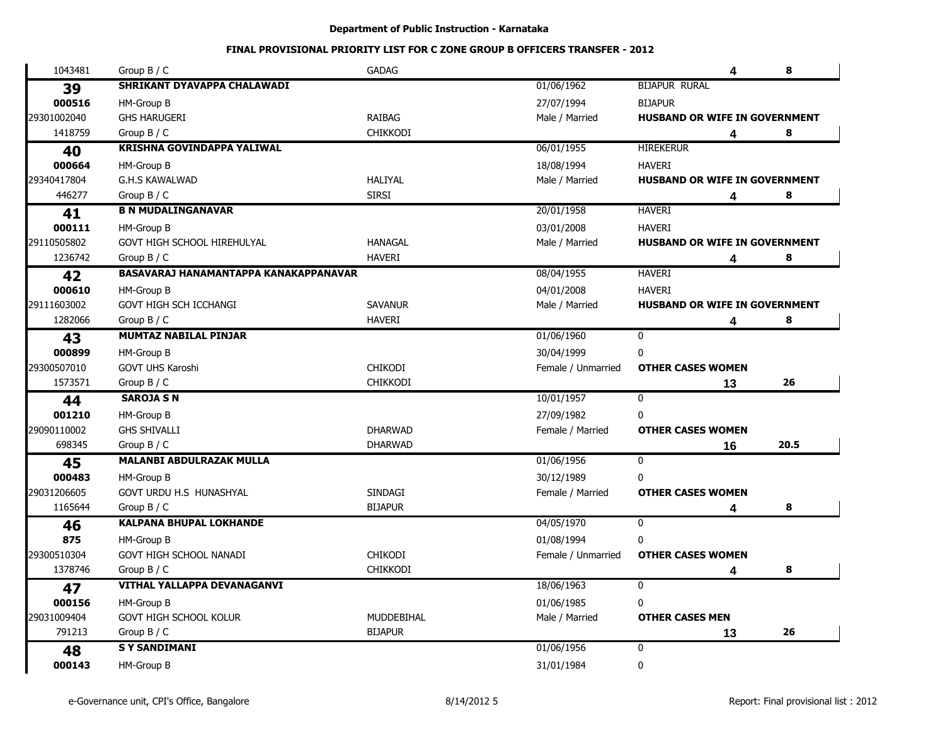| 1043481     | Group $B / C$                         | <b>GADAG</b>    |                    | 4                                    | 8    |
|-------------|---------------------------------------|-----------------|--------------------|--------------------------------------|------|
| 39          | SHRIKANT DYAVAPPA CHALAWADI           |                 | 01/06/1962         | <b>BIJAPUR RURAL</b>                 |      |
| 000516      | HM-Group B                            |                 | 27/07/1994         | <b>BIJAPUR</b>                       |      |
| 29301002040 | <b>GHS HARUGERI</b>                   | <b>RAIBAG</b>   | Male / Married     | HUSBAND OR WIFE IN GOVERNMENT        |      |
| 1418759     | Group $B / C$                         | <b>CHIKKODI</b> |                    | 4                                    | 8    |
| 40          | <b>KRISHNA GOVINDAPPA YALIWAL</b>     |                 | 06/01/1955         | <b>HIREKERUR</b>                     |      |
| 000664      | HM-Group B                            |                 | 18/08/1994         | <b>HAVERI</b>                        |      |
| 29340417804 | <b>G.H.S KAWALWAD</b>                 | <b>HALIYAL</b>  | Male / Married     | <b>HUSBAND OR WIFE IN GOVERNMENT</b> |      |
| 446277      | Group $B / C$                         | <b>SIRSI</b>    |                    | 4                                    | 8    |
| 41          | <b>B N MUDALINGANAVAR</b>             |                 | 20/01/1958         | <b>HAVERI</b>                        |      |
| 000111      | HM-Group B                            |                 | 03/01/2008         | <b>HAVERI</b>                        |      |
| 29110505802 | GOVT HIGH SCHOOL HIREHULYAL           | <b>HANAGAL</b>  | Male / Married     | <b>HUSBAND OR WIFE IN GOVERNMENT</b> |      |
| 1236742     | Group $B / C$                         | <b>HAVERI</b>   |                    | 4                                    | 8    |
| 42          | BASAVARAJ HANAMANTAPPA KANAKAPPANAVAR |                 | 08/04/1955         | <b>HAVERI</b>                        |      |
| 000610      | HM-Group B                            |                 | 04/01/2008         | <b>HAVERI</b>                        |      |
| 29111603002 | GOVT HIGH SCH ICCHANGI                | <b>SAVANUR</b>  | Male / Married     | HUSBAND OR WIFE IN GOVERNMENT        |      |
| 1282066     | Group $B / C$                         | <b>HAVERI</b>   |                    | 4                                    | 8    |
| 43          | <b>MUMTAZ NABILAL PINJAR</b>          |                 | 01/06/1960         | $\mathbf{0}$                         |      |
| 000899      | HM-Group B                            |                 | 30/04/1999         | 0                                    |      |
| 29300507010 | <b>GOVT UHS Karoshi</b>               | <b>CHIKODI</b>  | Female / Unmarried | <b>OTHER CASES WOMEN</b>             |      |
| 1573571     | Group $B / C$                         | <b>CHIKKODI</b> |                    | 13                                   | 26   |
| 44          | <b>SAROJA S N</b>                     |                 | 10/01/1957         | $\overline{0}$                       |      |
| 001210      | HM-Group B                            |                 | 27/09/1982         | 0                                    |      |
| 29090110002 | <b>GHS SHIVALLI</b>                   | <b>DHARWAD</b>  | Female / Married   | <b>OTHER CASES WOMEN</b>             |      |
| 698345      | Group $B / C$                         | <b>DHARWAD</b>  |                    | 16                                   | 20.5 |
| 45          | <b>MALANBI ABDULRAZAK MULLA</b>       |                 | 01/06/1956         | $\mathbf 0$                          |      |
| 000483      | HM-Group B                            |                 | 30/12/1989         | 0                                    |      |
| 29031206605 | GOVT URDU H.S HUNASHYAL               | <b>SINDAGI</b>  | Female / Married   | <b>OTHER CASES WOMEN</b>             |      |
| 1165644     | Group $B / C$                         | <b>BIJAPUR</b>  |                    | 4                                    | 8    |
| 46          | <b>KALPANA BHUPAL LOKHANDE</b>        |                 | 04/05/1970         | $\overline{0}$                       |      |
| 875         | HM-Group B                            |                 | 01/08/1994         | 0                                    |      |
| 29300510304 | GOVT HIGH SCHOOL NANADI               | <b>CHIKODI</b>  | Female / Unmarried | <b>OTHER CASES WOMEN</b>             |      |
| 1378746     | Group $B / C$                         | <b>CHIKKODI</b> |                    | 4                                    | 8    |
| 47          | <b>VITHAL YALLAPPA DEVANAGANVI</b>    |                 | 18/06/1963         | $\mathbf 0$                          |      |
| 000156      | HM-Group B                            |                 | 01/06/1985         | 0                                    |      |
| 29031009404 | GOVT HIGH SCHOOL KOLUR                | MUDDEBIHAL      | Male / Married     | <b>OTHER CASES MEN</b>               |      |
| 791213      | Group $B / C$                         | <b>BIJAPUR</b>  |                    | 13                                   | 26   |
| 48          | <b>SY SANDIMANI</b>                   |                 | 01/06/1956         | $\mathbf 0$                          |      |
| 000143      | HM-Group B                            |                 | 31/01/1984         | $\pmb{0}$                            |      |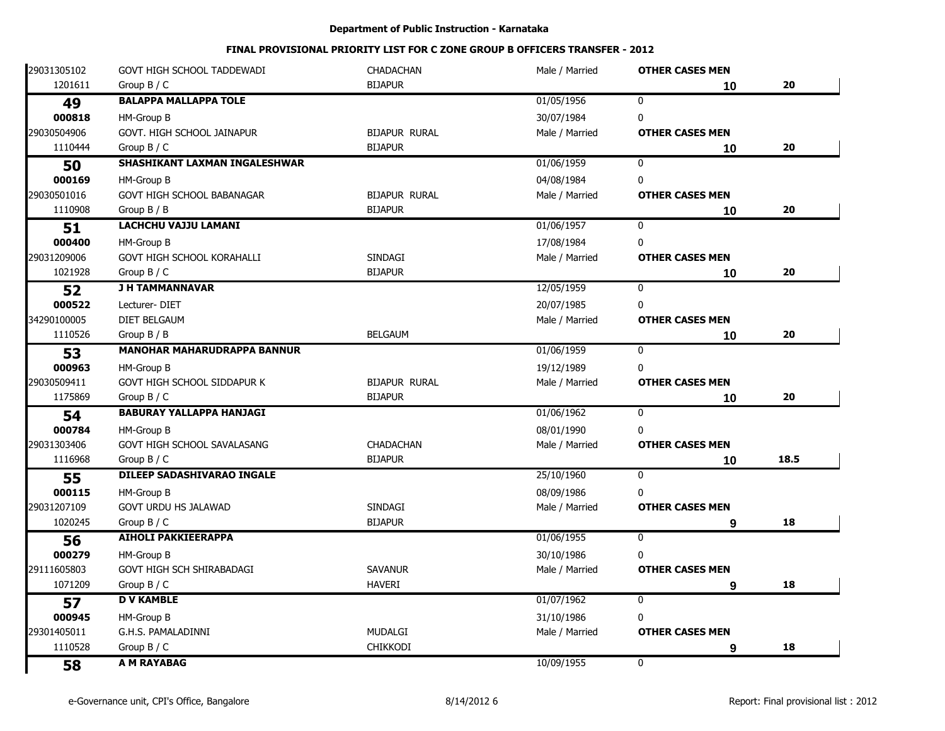| 29031305102 | GOVT HIGH SCHOOL TADDEWADI         | <b>CHADACHAN</b>     | Male / Married | <b>OTHER CASES MEN</b> |      |
|-------------|------------------------------------|----------------------|----------------|------------------------|------|
| 1201611     | Group $B / C$                      | <b>BIJAPUR</b>       |                | 10                     | 20   |
| 49          | <b>BALAPPA MALLAPPA TOLE</b>       |                      | 01/05/1956     | $\mathbf{0}$           |      |
| 000818      | HM-Group B                         |                      | 30/07/1984     | $\mathbf 0$            |      |
| 29030504906 | GOVT. HIGH SCHOOL JAINAPUR         | <b>BIJAPUR RURAL</b> | Male / Married | <b>OTHER CASES MEN</b> |      |
| 1110444     | Group $B / C$                      | <b>BIJAPUR</b>       |                | 10                     | 20   |
| 50          | SHASHIKANT LAXMAN INGALESHWAR      |                      | 01/06/1959     | 0                      |      |
| 000169      | HM-Group B                         |                      | 04/08/1984     | 0                      |      |
| 29030501016 | <b>GOVT HIGH SCHOOL BABANAGAR</b>  | <b>BIJAPUR RURAL</b> | Male / Married | <b>OTHER CASES MEN</b> |      |
| 1110908     | Group B / B                        | <b>BIJAPUR</b>       |                | 10                     | 20   |
| 51          | <b>LACHCHU VAJJU LAMANI</b>        |                      | 01/06/1957     | $\mathbf 0$            |      |
| 000400      | HM-Group B                         |                      | 17/08/1984     | $\mathbf{0}$           |      |
| 29031209006 | <b>GOVT HIGH SCHOOL KORAHALLI</b>  | <b>SINDAGI</b>       | Male / Married | <b>OTHER CASES MEN</b> |      |
| 1021928     | Group $B / C$                      | <b>BIJAPUR</b>       |                | 10                     | 20   |
| 52          | <b>J H TAMMANNAVAR</b>             |                      | 12/05/1959     | $\mathbf{0}$           |      |
| 000522      | Lecturer-DIET                      |                      | 20/07/1985     | $\mathbf{0}$           |      |
| 34290100005 | <b>DIET BELGAUM</b>                |                      | Male / Married | <b>OTHER CASES MEN</b> |      |
| 1110526     | Group $B / B$                      | <b>BELGAUM</b>       |                | 10                     | 20   |
| 53          | <b>MANOHAR MAHARUDRAPPA BANNUR</b> |                      | 01/06/1959     | 0                      |      |
| 000963      | HM-Group B                         |                      | 19/12/1989     | $\mathbf{0}$           |      |
| 29030509411 | GOVT HIGH SCHOOL SIDDAPUR K        | <b>BIJAPUR RURAL</b> | Male / Married | <b>OTHER CASES MEN</b> |      |
| 1175869     | Group $B / C$                      | <b>BIJAPUR</b>       |                | 10                     | 20   |
| 54          | <b>BABURAY YALLAPPA HANJAGI</b>    |                      | 01/06/1962     | $\overline{0}$         |      |
| 000784      | HM-Group B                         |                      | 08/01/1990     | $\mathbf{0}$           |      |
| 29031303406 | GOVT HIGH SCHOOL SAVALASANG        | <b>CHADACHAN</b>     | Male / Married | <b>OTHER CASES MEN</b> |      |
| 1116968     | Group $B / C$                      | <b>BIJAPUR</b>       |                | 10                     | 18.5 |
| 55          | DILEEP SADASHIVARAO INGALE         |                      | 25/10/1960     | 0                      |      |
| 000115      | HM-Group B                         |                      | 08/09/1986     | 0                      |      |
| 29031207109 | GOVT URDU HS JALAWAD               | SINDAGI              | Male / Married | <b>OTHER CASES MEN</b> |      |
| 1020245     | Group $B / C$                      | <b>BIJAPUR</b>       |                | 9                      | 18   |
| 56          | <b>AIHOLI PAKKIEERAPPA</b>         |                      | 01/06/1955     | $\overline{0}$         |      |
| 000279      | HM-Group B                         |                      | 30/10/1986     | 0                      |      |
| 29111605803 | <b>GOVT HIGH SCH SHIRABADAGI</b>   | <b>SAVANUR</b>       | Male / Married | <b>OTHER CASES MEN</b> |      |
| 1071209     | Group $B / C$                      | <b>HAVERI</b>        |                | 9                      | 18   |
| 57          | <b>D V KAMBLE</b>                  |                      | 01/07/1962     | $\mathbf 0$            |      |
| 000945      | HM-Group B                         |                      | 31/10/1986     | $\mathbf 0$            |      |
| 29301405011 | G.H.S. PAMALADINNI                 | <b>MUDALGI</b>       | Male / Married | <b>OTHER CASES MEN</b> |      |
| 1110528     | Group $B / C$                      | <b>CHIKKODI</b>      |                | 9                      | 18   |
| 58          | A M RAYABAG                        |                      | 10/09/1955     | $\overline{0}$         |      |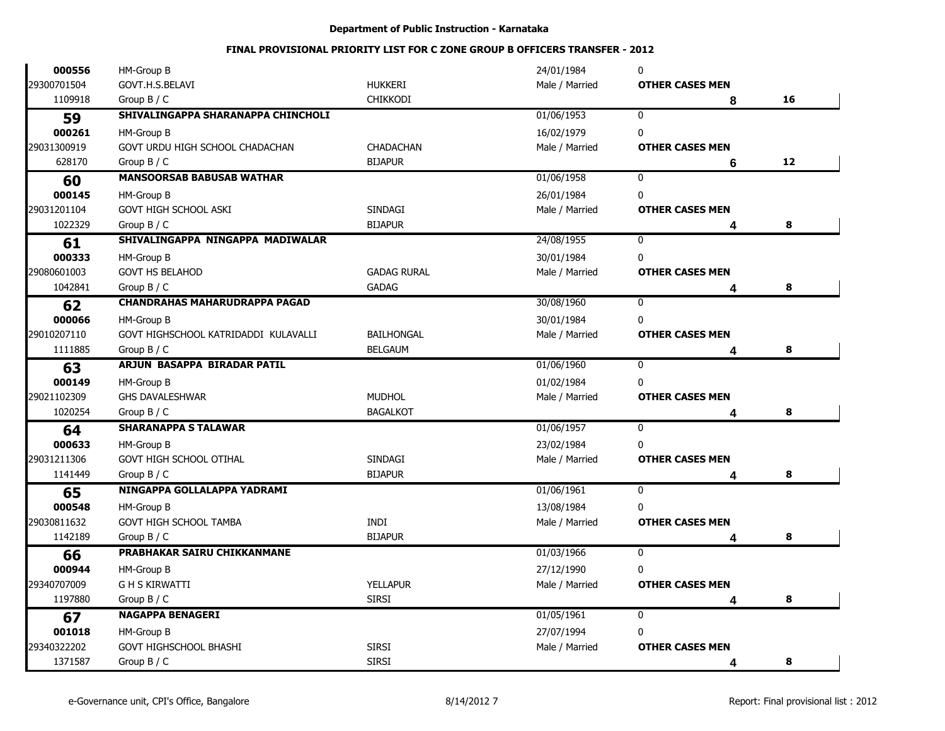| 000556      | HM-Group B                           |                    | 24/01/1984     | 0                      |    |
|-------------|--------------------------------------|--------------------|----------------|------------------------|----|
| 29300701504 | GOVT.H.S.BELAVI                      | <b>HUKKERI</b>     | Male / Married | <b>OTHER CASES MEN</b> |    |
| 1109918     | Group $B / C$                        | <b>CHIKKODI</b>    |                | 8                      | 16 |
| 59          | SHIVALINGAPPA SHARANAPPA CHINCHOLI   |                    | 01/06/1953     | $\mathbf{0}$           |    |
| 000261      | HM-Group B                           |                    | 16/02/1979     | 0                      |    |
| 29031300919 | GOVT URDU HIGH SCHOOL CHADACHAN      | <b>CHADACHAN</b>   | Male / Married | <b>OTHER CASES MEN</b> |    |
| 628170      | Group $B / C$                        | <b>BIJAPUR</b>     |                | 6                      | 12 |
| 60          | <b>MANSOORSAB BABUSAB WATHAR</b>     |                    | 01/06/1958     | $\mathbf 0$            |    |
| 000145      | HM-Group B                           |                    | 26/01/1984     | 0                      |    |
| 29031201104 | <b>GOVT HIGH SCHOOL ASKI</b>         | <b>SINDAGI</b>     | Male / Married | <b>OTHER CASES MEN</b> |    |
| 1022329     | Group $B / C$                        | <b>BIJAPUR</b>     |                |                        | 8  |
| 61          | SHIVALINGAPPA NINGAPPA MADIWALAR     |                    | 24/08/1955     | $\mathbf 0$            |    |
| 000333      | HM-Group B                           |                    | 30/01/1984     | 0                      |    |
| 29080601003 | <b>GOVT HS BELAHOD</b>               | <b>GADAG RURAL</b> | Male / Married | <b>OTHER CASES MEN</b> |    |
| 1042841     | Group $B / C$                        | <b>GADAG</b>       |                |                        | 8  |
| 62          | <b>CHANDRAHAS MAHARUDRAPPA PAGAD</b> |                    | 30/08/1960     | $\mathbf 0$            |    |
| 000066      | HM-Group B                           |                    | 30/01/1984     | 0                      |    |
| 29010207110 | GOVT HIGHSCHOOL KATRIDADDI KULAVALLI | BAILHONGAL         | Male / Married | <b>OTHER CASES MEN</b> |    |
| 1111885     | Group $B / C$                        | <b>BELGAUM</b>     |                |                        | 8  |
| 63          | ARJUN BASAPPA BIRADAR PATIL          |                    | 01/06/1960     | $\mathbf 0$            |    |
| 000149      | HM-Group B                           |                    | 01/02/1984     | 0                      |    |
| 29021102309 | <b>GHS DAVALESHWAR</b>               | <b>MUDHOL</b>      | Male / Married | <b>OTHER CASES MEN</b> |    |
| 1020254     | Group $B / C$                        | <b>BAGALKOT</b>    |                |                        | 8  |
| 64          | <b>SHARANAPPA S TALAWAR</b>          |                    | 01/06/1957     | $\mathbf 0$            |    |
| 000633      | HM-Group B                           |                    | 23/02/1984     | 0                      |    |
| 29031211306 | <b>GOVT HIGH SCHOOL OTIHAL</b>       | SINDAGI            | Male / Married | <b>OTHER CASES MEN</b> |    |
| 1141449     | Group $B / C$                        | <b>BIJAPUR</b>     |                | 4                      | 8  |
| 65          | NINGAPPA GOLLALAPPA YADRAMI          |                    | 01/06/1961     | $\mathbf 0$            |    |
| 000548      | HM-Group B                           |                    | 13/08/1984     | 0                      |    |
| 29030811632 | <b>GOVT HIGH SCHOOL TAMBA</b>        | INDI               | Male / Married | <b>OTHER CASES MEN</b> |    |
| 1142189     | Group $B / C$                        | <b>BIJAPUR</b>     |                | 4                      | 8  |
| 66          | PRABHAKAR SAIRU CHIKKANMANE          |                    | 01/03/1966     | $\mathbf 0$            |    |
| 000944      | HM-Group B                           |                    | 27/12/1990     | 0                      |    |
| 29340707009 | <b>GH S KIRWATTI</b>                 | <b>YELLAPUR</b>    | Male / Married | <b>OTHER CASES MEN</b> |    |
| 1197880     | Group $B / C$                        | <b>SIRSI</b>       |                |                        | 8  |
| 67          | <b>NAGAPPA BENAGERI</b>              |                    | 01/05/1961     | $\mathbf{0}$           |    |
| 001018      | HM-Group B                           |                    | 27/07/1994     | 0                      |    |
| 29340322202 | <b>GOVT HIGHSCHOOL BHASHI</b>        | <b>SIRSI</b>       | Male / Married | <b>OTHER CASES MEN</b> |    |
| 1371587     | Group $B / C$                        | <b>SIRSI</b>       |                | Δ                      | 8  |